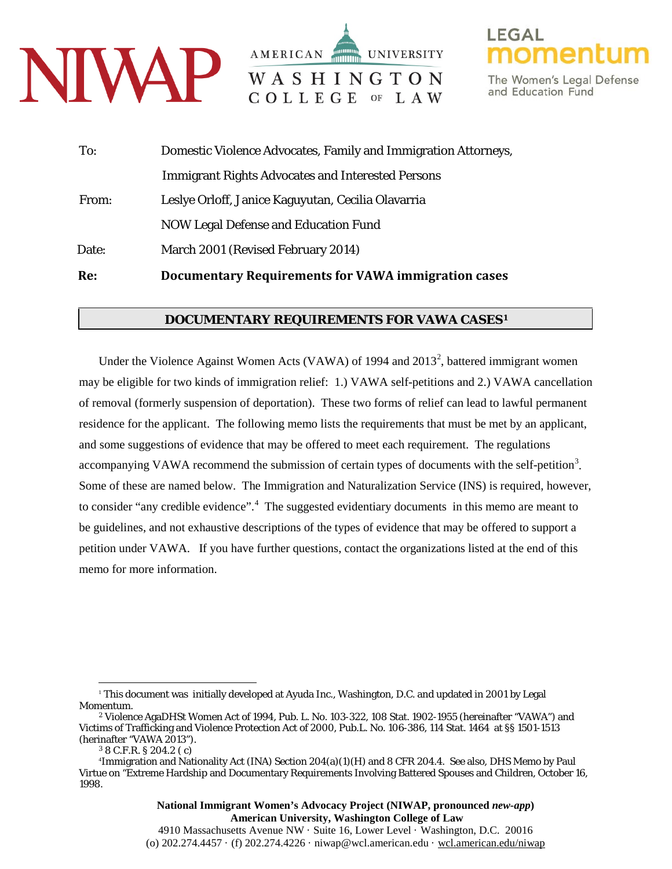

AMERICAN **UNIVERSITY** WASHINGTON COLLEGE OF LAW

The Women's Legal Defense and Education Fund

| To:   | Domestic Violence Advocates, Family and Immigration Attorneys, |
|-------|----------------------------------------------------------------|
|       | <b>Immigrant Rights Advocates and Interested Persons</b>       |
| From: | Leslye Orloff, Janice Kaguyutan, Cecilia Olavarria             |
|       | <b>NOW Legal Defense and Education Fund</b>                    |
| Date: | March 2001 (Revised February 2014)                             |
| Re:   | Documentary Requirements for VAWA immigration cases            |

## **DOCUMENTARY REQUIREMENTS FOR VAWA CASES[1](#page-0-0)**

Under the Violence Against Women Acts (VAWA) of 1994 and  $2013^2$  $2013^2$ , battered immigrant women may be eligible for two kinds of immigration relief: 1.) VAWA self-petitions and 2.) VAWA cancellation of removal (formerly suspension of deportation). These two forms of relief can lead to lawful permanent residence for the applicant. The following memo lists the requirements that must be met by an applicant, and some suggestions of evidence that may be offered to meet each requirement. The regulations accompanying VAWA recommend the submission of certain types of documents with the self-petition<sup>[3](#page-0-2)</sup>. Some of these are named below. The Immigration and Naturalization Service (INS) is required, however, to consider "any credible evidence".<sup>[4](#page-0-3)</sup> The suggested evidentiary documents in this memo are meant to be guidelines, and not exhaustive descriptions of the types of evidence that may be offered to support a petition under VAWA. If you have further questions, contact the organizations listed at the end of this memo for more information.

<sup>1</sup> This document was initially developed at Ayuda Inc., Washington, D.C. and updated in 2001 by Legal  $\overline{a}$ 

<span id="page-0-1"></span><span id="page-0-0"></span>Momentum. 2 Violence AgaDHSt Women Act of 1994, Pub. L. No. 103-322, 108 Stat. 1902-1955 (hereinafter "VAWA") and Victims of Trafficking and Violence Protection Act of 2000, Pub.L. No. 106-386, 114 Stat. 1464 at §§ 1501-1513 (herinafter "VAWA 2013"). 3 8 C.F.R. § 204.2 ( c)

<span id="page-0-3"></span><span id="page-0-2"></span><sup>4</sup> Immigration and Nationality Act (INA) Section 204(a)(1)(H) and 8 CFR 204.4. See also, DHS Memo by Paul Virtue on "Extreme Hardship and Documentary Requirements Involving Battered Spouses and Children, October 16, 1998.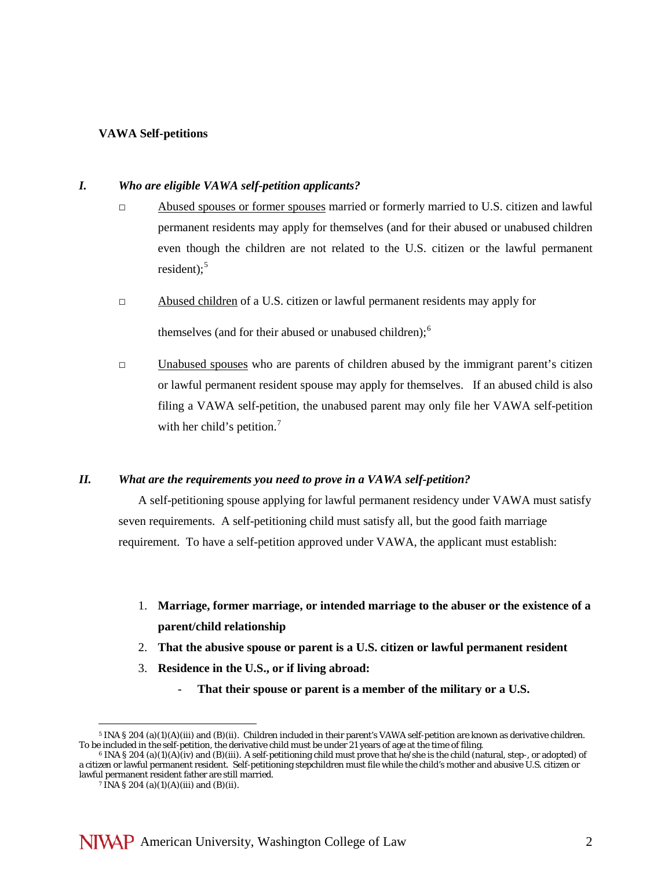## **VAWA Self-petitions**

#### *I. Who are eligible VAWA self-petition applicants?*

- □ Abused spouses or former spouses married or formerly married to U.S. citizen and lawful permanent residents may apply for themselves (and for their abused or unabused children even though the children are not related to the U.S. citizen or the lawful permanent resident); $5$
- □ Abused children of a U.S. citizen or lawful permanent residents may apply for

themselves (and for their abused or unabused children); $<sup>6</sup>$  $<sup>6</sup>$  $<sup>6</sup>$ </sup>

 $\Box$  Unabused spouses who are parents of children abused by the immigrant parent's citizen or lawful permanent resident spouse may apply for themselves. If an abused child is also filing a VAWA self-petition, the unabused parent may only file her VAWA self-petition with her child's petition.<sup>[7](#page-1-2)</sup>

## *II. What are the requirements you need to prove in a VAWA self-petition?*

A self-petitioning spouse applying for lawful permanent residency under VAWA must satisfy seven requirements. A self-petitioning child must satisfy all, but the good faith marriage requirement. To have a self-petition approved under VAWA, the applicant must establish:

- 1. **Marriage, former marriage, or intended marriage to the abuser or the existence of a parent/child relationship**
- 2. **That the abusive spouse or parent is a U.S. citizen or lawful permanent resident**
- 3. **Residence in the U.S., or if living abroad:**
	- That their spouse or parent is a member of the military or a U.S.

<span id="page-1-0"></span><sup>5</sup> INA § 204 (a)(1)(A)(iii) and (B)(ii). Children included in their parent's VAWA self-petition are known as derivative children. To be included in the self-petition, the derivative child must be under 21 years of age at the time of filing.<br><sup>6</sup> INA § 204 (a)(1)(A)(iv) and (B)(iii). A self-petitioning child must prove that he/she is the child (natura  $\overline{a}$ 

<span id="page-1-2"></span><span id="page-1-1"></span>a citizen or lawful permanent resident. Self-petitioning stepchildren must file while the child's mother and abusive U.S. citizen or lawful permanent resident father are still married.

<sup>&</sup>lt;sup>7</sup> INA § 204 (a)(1)(A)(iii) and (B)(ii).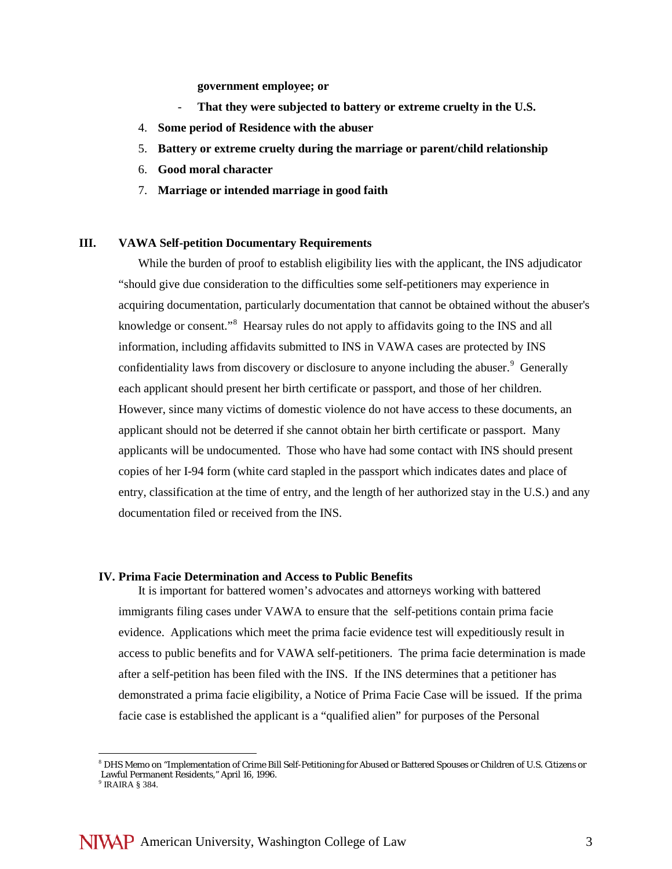**government employee; or**

- **That they were subjected to battery or extreme cruelty in the U.S.**
- 4. **Some period of Residence with the abuser**
- 5. **Battery or extreme cruelty during the marriage or parent/child relationship**
- 6. **Good moral character**
- 7. **Marriage or intended marriage in good faith**

### **III. VAWA Self-petition Documentary Requirements**

While the burden of proof to establish eligibility lies with the applicant, the INS adjudicator "should give due consideration to the difficulties some self-petitioners may experience in acquiring documentation, particularly documentation that cannot be obtained without the abuser's knowledge or consent."<sup>[8](#page-2-0)</sup> Hearsay rules do not apply to affidavits going to the INS and all information, including affidavits submitted to INS in VAWA cases are protected by INS confidentiality laws from discovery or disclosure to anyone including the abuser.<sup>[9](#page-2-1)</sup> Generally each applicant should present her birth certificate or passport, and those of her children. However, since many victims of domestic violence do not have access to these documents, an applicant should not be deterred if she cannot obtain her birth certificate or passport. Many applicants will be undocumented. Those who have had some contact with INS should present copies of her I-94 form (white card stapled in the passport which indicates dates and place of entry, classification at the time of entry, and the length of her authorized stay in the U.S.) and any documentation filed or received from the INS.

#### **IV. Prima Facie Determination and Access to Public Benefits**

It is important for battered women's advocates and attorneys working with battered immigrants filing cases under VAWA to ensure that the self-petitions contain prima facie evidence. Applications which meet the prima facie evidence test will expeditiously result in access to public benefits and for VAWA self-petitioners. The prima facie determination is made after a self-petition has been filed with the INS. If the INS determines that a petitioner has demonstrated a prima facie eligibility, a Notice of Prima Facie Case will be issued. If the prima facie case is established the applicant is a "qualified alien" for purposes of the Personal

 $\overline{a}$ 

<span id="page-2-0"></span><sup>8</sup> DHS Memo on "Implementation of Crime Bill Self-Petitioning for Abused or Battered Spouses or Children of U.S. Citizens or Lawful Permanent Residents," April 16, 1996.

<span id="page-2-1"></span> $<sup>9</sup>$  IRAIRA § 384.</sup>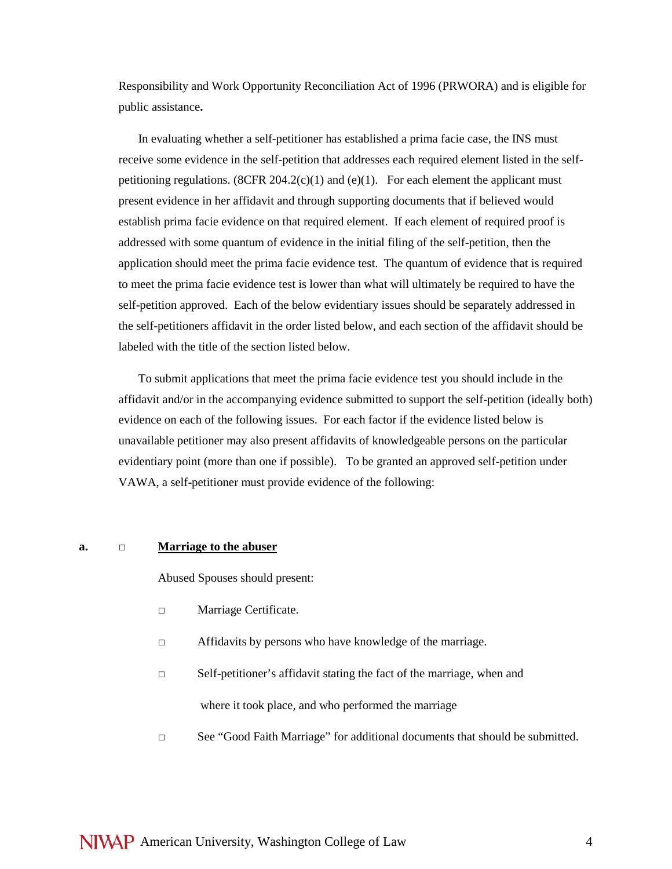Responsibility and Work Opportunity Reconciliation Act of 1996 (PRWORA) and is eligible for public assistance**.**

In evaluating whether a self-petitioner has established a prima facie case, the INS must receive some evidence in the self-petition that addresses each required element listed in the selfpetitioning regulations. (8CFR 204.2(c)(1) and (e)(1). For each element the applicant must present evidence in her affidavit and through supporting documents that if believed would establish prima facie evidence on that required element. If each element of required proof is addressed with some quantum of evidence in the initial filing of the self-petition, then the application should meet the prima facie evidence test. The quantum of evidence that is required to meet the prima facie evidence test is lower than what will ultimately be required to have the self-petition approved. Each of the below evidentiary issues should be separately addressed in the self-petitioners affidavit in the order listed below, and each section of the affidavit should be labeled with the title of the section listed below.

To submit applications that meet the prima facie evidence test you should include in the affidavit and/or in the accompanying evidence submitted to support the self-petition (ideally both) evidence on each of the following issues. For each factor if the evidence listed below is unavailable petitioner may also present affidavits of knowledgeable persons on the particular evidentiary point (more than one if possible). To be granted an approved self-petition under VAWA, a self-petitioner must provide evidence of the following:

## **a. □ Marriage to the abuser**

Abused Spouses should present:

- **□** Marriage Certificate.
- **□** Affidavits by persons who have knowledge of the marriage.
- **□** Self-petitioner's affidavit stating the fact of the marriage, when and where it took place, and who performed the marriage
- **□** See "Good Faith Marriage" for additional documents that should be submitted.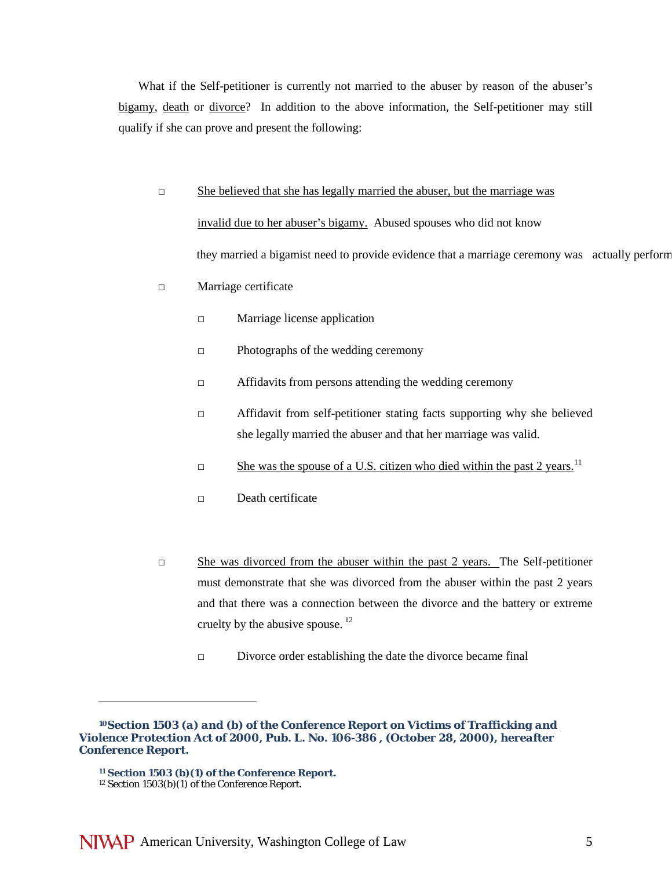What if the Self-petitioner is currently not married to the abuser by reason of the abuser's bigamy, death or divorce? In addition to the above information, the Self-petitioner may still qualify if she can prove and present the following:

**□** She believed that she has legally married the abuser, but the marriage was

invalid due to her abuser's bigamy. Abused spouses who did not know they married a bigamist need to provide evidence that a marriage ceremony was actually perform

- **□** Marriage certificate
	- **□** Marriage license application
	- **□** Photographs of the wedding ceremony
	- **□** Affidavits from persons attending the wedding ceremony
	- **□** Affidavit from self-petitioner stating facts supporting why she believed she legally married the abuser and that her marriage was valid.
	- □ She was the spouse of a U.S. citizen who died within the past 2 years.<sup>[11](#page-4-0)</sup>
	- **□** Death certificate
- **□** She was divorced from the abuser within the past 2 years. The Self-petitioner must demonstrate that she was divorced from the abuser within the past 2 years and that there was a connection between the divorce and the battery or extreme cruelty by the abusive spouse. [12](#page-4-1)
	- **□** Divorce order establishing the date the divorce became final

 $\overline{a}$ 

<span id="page-4-0"></span>*<sup>10</sup>Section 1503 (a) and (b) of the Conference Report on Victims of Trafficking and Violence Protection Act of 2000, Pub. L. No. 106-386 , (October 28, 2000), hereafter Conference Report.*

<span id="page-4-1"></span>*<sup>11</sup> Section 1503 (b)(1) of the Conference Report.* <sup>12</sup> Section 1503(b)(1) of the Conference Report.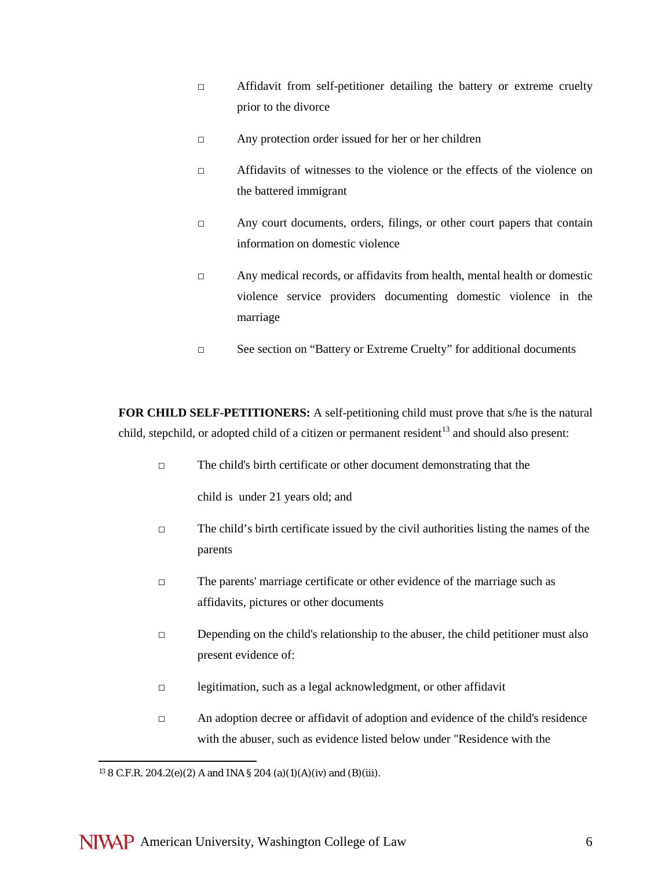- **□** Affidavit from self-petitioner detailing the battery or extreme cruelty prior to the divorce
- **□** Any protection order issued for her or her children
- □ Affidavits of witnesses to the violence or the effects of the violence on the battered immigrant
- □ Any court documents, orders, filings, or other court papers that contain information on domestic violence
- □ Any medical records, or affidavits from health, mental health or domestic violence service providers documenting domestic violence in the marriage
- **□** See section on "Battery or Extreme Cruelty" for additional documents

**FOR CHILD SELF-PETITIONERS:** A self-petitioning child must prove that s/he is the natural child, stepchild, or adopted child of a citizen or permanent resident<sup>[13](#page-5-0)</sup> and should also present:

**□** The child's birth certificate or other document demonstrating that the

child is under 21 years old; and

- **□** The child's birth certificate issued by the civil authorities listing the names of the parents
- **□** The parents' marriage certificate or other evidence of the marriage such as affidavits, pictures or other documents
- **□** Depending on the child's relationship to the abuser, the child petitioner must also present evidence of:
- **□** legitimation, such as a legal acknowledgment, or other affidavit
- **□** An adoption decree or affidavit of adoption and evidence of the child's residence with the abuser, such as evidence listed below under "Residence with the

<span id="page-5-0"></span><sup>13</sup> 8 C.F.R. 204.2(e)(2) A and INA § 204 (a)(1)(A)(iv) and (B)(iii).  $\overline{a}$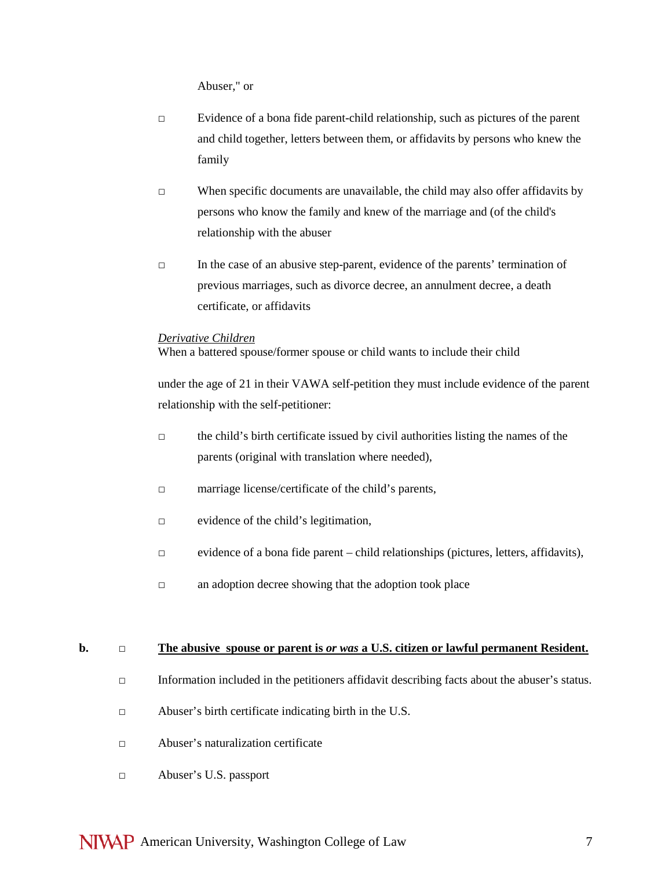Abuser," or

- **□** Evidence of a bona fide parent-child relationship, such as pictures of the parent and child together, letters between them, or affidavits by persons who knew the family
- **□** When specific documents are unavailable, the child may also offer affidavits by persons who know the family and knew of the marriage and (of the child's relationship with the abuser
- **□** In the case of an abusive step-parent, evidence of the parents' termination of previous marriages, such as divorce decree, an annulment decree, a death certificate, or affidavits

#### *Derivative Children*

When a battered spouse/former spouse or child wants to include their child

under the age of 21 in their VAWA self-petition they must include evidence of the parent relationship with the self-petitioner:

- **□** the child's birth certificate issued by civil authorities listing the names of the parents (original with translation where needed),
- □ marriage license/certificate of the child's parents,
- □ evidence of the child's legitimation,
- □ evidence of a bona fide parent child relationships (pictures, letters, affidavits),
- □ an adoption decree showing that the adoption took place

#### **b. □ The abusive spouse or parent is** *or was* **a U.S. citizen or lawful permanent Resident.**

- □ Information included in the petitioners affidavit describing facts about the abuser's status.
- □ Abuser's birth certificate indicating birth in the U.S.
- □ Abuser's naturalization certificate
- □ Abuser's U.S. passport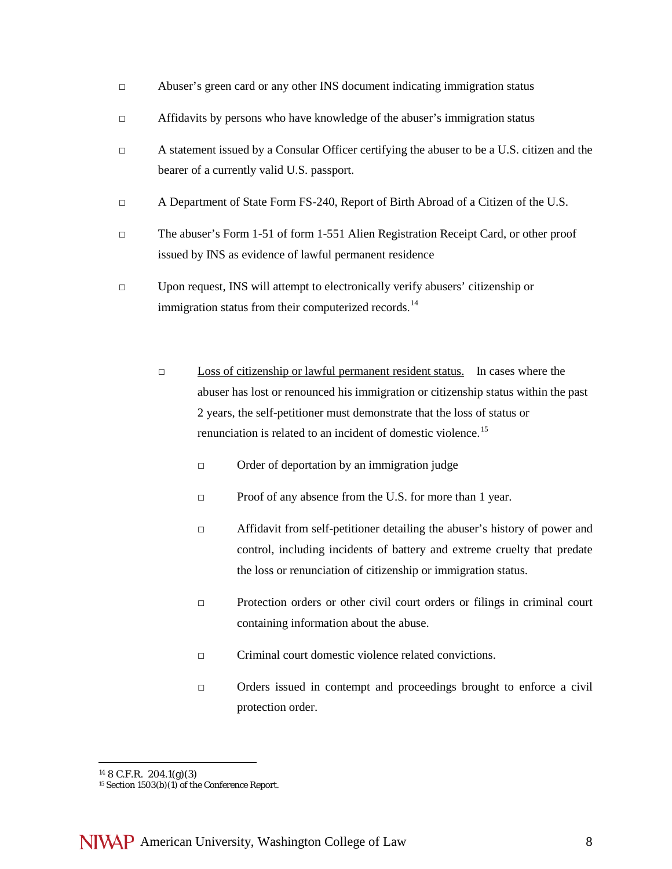- □ Abuser's green card or any other INS document indicating immigration status
- □ Affidavits by persons who have knowledge of the abuser's immigration status
- **□** A statement issued by a Consular Officer certifying the abuser to be a U.S. citizen and the bearer of a currently valid U.S. passport.
- □ A Department of State Form FS-240, Report of Birth Abroad of a Citizen of the U.S.
- □ The abuser's Form 1-51 of form 1-551 Alien Registration Receipt Card, or other proof issued by INS as evidence of lawful permanent residence
- □ Upon request, INS will attempt to electronically verify abusers' citizenship or immigration status from their computerized records.<sup>[14](#page-7-0)</sup>
	- **□** Loss of citizenship or lawful permanent resident status. In cases where the abuser has lost or renounced his immigration or citizenship status within the past 2 years, the self-petitioner must demonstrate that the loss of status or renunciation is related to an incident of domestic violence.<sup>15</sup>
		- □ Order of deportation by an immigration judge
		- □ Proof of any absence from the U.S. for more than 1 year.
		- □ Affidavit from self-petitioner detailing the abuser's history of power and control, including incidents of battery and extreme cruelty that predate the loss or renunciation of citizenship or immigration status.
		- □ Protection orders or other civil court orders or filings in criminal court containing information about the abuse.
		- $\nabla$  Criminal court domestic violence related convictions.
		- □ Orders issued in contempt and proceedings brought to enforce a civil protection order.

<sup>14</sup> 8 C.F.R. 204.1(g)(3)  $\overline{a}$ 

<span id="page-7-1"></span><span id="page-7-0"></span><sup>&</sup>lt;sup>15</sup> Section 1503(b)(1) of the Conference Report.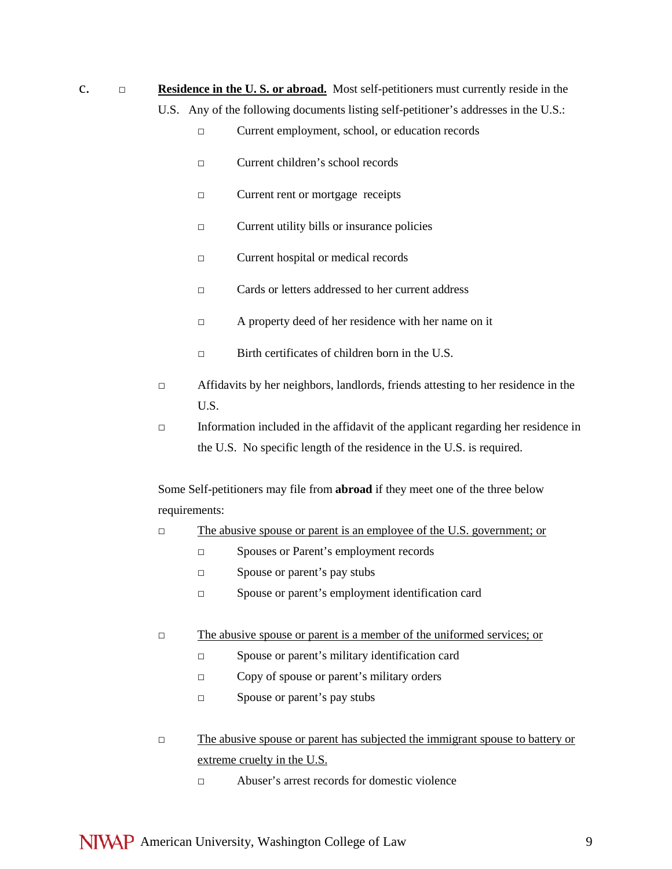c. □ **Residence in the U. S. or abroad.** Most self-petitioners must currently reside in the U.S. Any of the following documents listing self-petitioner's addresses in the U.S.:

- *□* Current employment, school, or education records
- □ Current children's school records
- □ Current rent or mortgage receipts
- □ Current utility bills or insurance policies
- □ Current hospital or medical records
- *□* Cards or letters addressed to her current address
- *□* A property deed of her residence with her name on it
- **□** Birth certificates of children born in the U.S.
- □ Affidavits by her neighbors, landlords, friends attesting to her residence in the U.S.
- **□** Information included in the affidavit of the applicant regarding her residence in the U.S. No specific length of the residence in the U.S. is required.

Some Self-petitioners may file from **abroad** if they meet one of the three below requirements:

- *□* The abusive spouse or parent is an employee of the U.S. government; or
	- □ Spouses or Parent's employment records
	- □ Spouse or parent's pay stubs
	- □ Spouse or parent's employment identification card
- *□* The abusive spouse or parent is a member of the uniformed services; or
	- □ Spouse or parent's military identification card
	- □ Copy of spouse or parent's military orders
	- □ Spouse or parent's pay stubs
- *□* The abusive spouse or parent has subjected the immigrant spouse to battery or extreme cruelty in the U.S.
	- $\neg$  Abuser's arrest records for domestic violence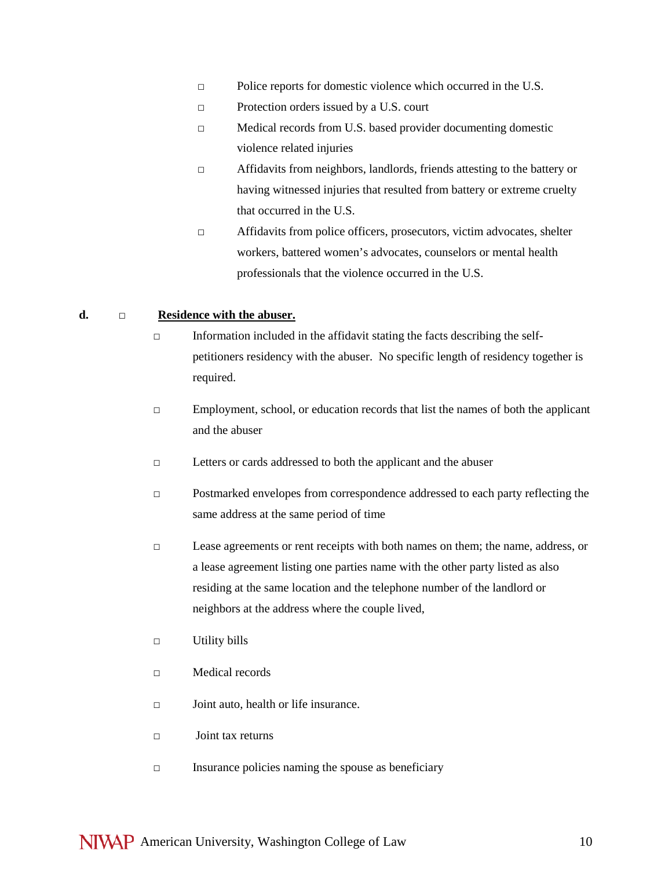- *□* Police reports for domestic violence which occurred in the U.S.
- □ Protection orders issued by a U.S. court
- □ Medical records from U.S. based provider documenting domestic violence related injuries
- □ Affidavits from neighbors, landlords, friends attesting to the battery or having witnessed injuries that resulted from battery or extreme cruelty that occurred in the U.S.
- □ Affidavits from police officers, prosecutors, victim advocates, shelter workers, battered women's advocates, counselors or mental health professionals that the violence occurred in the U.S.

### **d.** *□* **Residence with the abuser.**

- $\Box$  Information included in the affidavit stating the facts describing the selfpetitioners residency with the abuser. No specific length of residency together is required.
- $\square$  Employment, school, or education records that list the names of both the applicant and the abuser
- □ Letters or cards addressed to both the applicant and the abuser
- **□** Postmarked envelopes from correspondence addressed to each party reflecting the same address at the same period of time
- □ Lease agreements or rent receipts with both names on them; the name, address, or a lease agreement listing one parties name with the other party listed as also residing at the same location and the telephone number of the landlord or neighbors at the address where the couple lived,
- □ Utility bills
- $\Box$  Medical records
- □ Joint auto, health or life insurance.
- □ Joint tax returns
- □ Insurance policies naming the spouse as beneficiary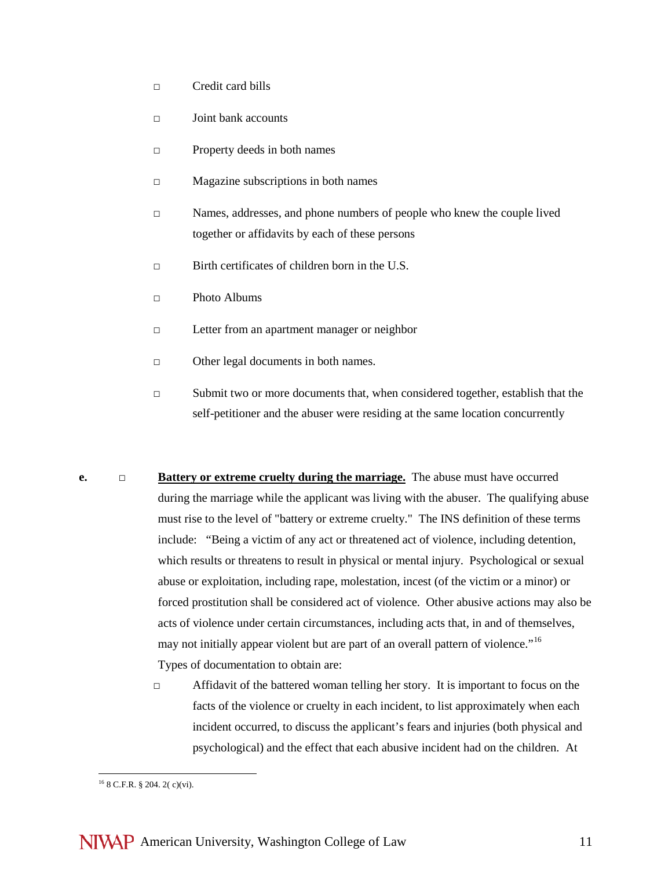- □ Credit card bills
- □ Joint bank accounts
- □ Property deeds in both names
- □ Magazine subscriptions in both names
- □ Names, addresses, and phone numbers of people who knew the couple lived together or affidavits by each of these persons
- □ Birth certificates of children born in the U.S.
- **□** Photo Albums
- □ Letter from an apartment manager or neighbor
- □ Other legal documents in both names.
- **□** Submit two or more documents that, when considered together, establish that the self-petitioner and the abuser were residing at the same location concurrently
- **e. □ Battery or extreme cruelty during the marriage.** The abuse must have occurred during the marriage while the applicant was living with the abuser. The qualifying abuse must rise to the level of "battery or extreme cruelty." The INS definition of these terms include: "Being a victim of any act or threatened act of violence, including detention, which results or threatens to result in physical or mental injury. Psychological or sexual abuse or exploitation, including rape, molestation, incest (of the victim or a minor) or forced prostitution shall be considered act of violence. Other abusive actions may also be acts of violence under certain circumstances, including acts that, in and of themselves, may not initially appear violent but are part of an overall pattern of violence."<sup>16</sup> Types of documentation to obtain are:
	- □ Affidavit of the battered woman telling her story. It is important to focus on the facts of the violence or cruelty in each incident, to list approximately when each incident occurred, to discuss the applicant's fears and injuries (both physical and psychological) and the effect that each abusive incident had on the children. At

 $\overline{a}$ 

<span id="page-10-0"></span> $16$  8 C.F.R. § 204. 2( c)(vi).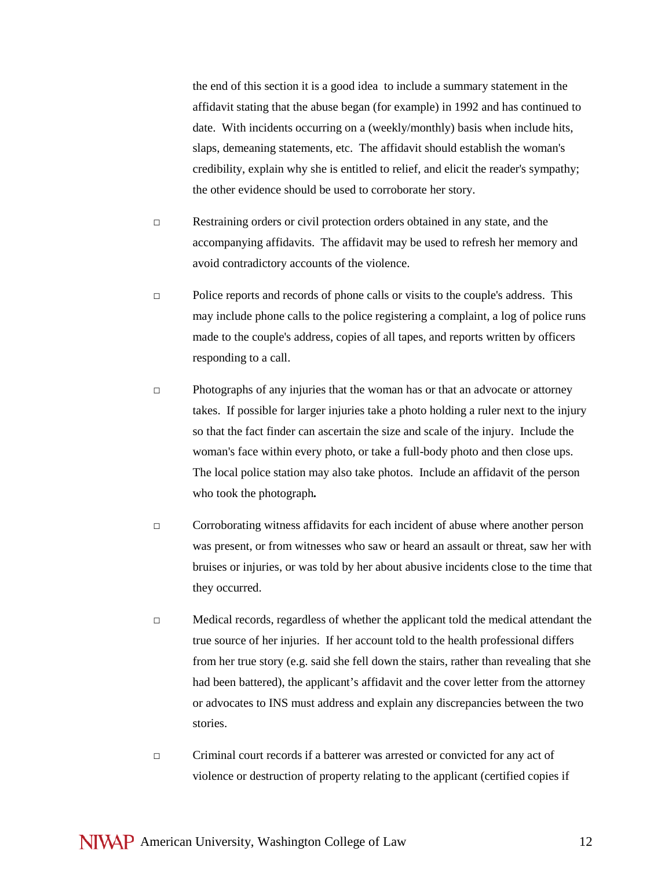the end of this section it is a good idea to include a summary statement in the affidavit stating that the abuse began (for example) in 1992 and has continued to date. With incidents occurring on a (weekly/monthly) basis when include hits, slaps, demeaning statements, etc. The affidavit should establish the woman's credibility, explain why she is entitled to relief, and elicit the reader's sympathy; the other evidence should be used to corroborate her story.

- □ Restraining orders or civil protection orders obtained in any state, and the accompanying affidavits. The affidavit may be used to refresh her memory and avoid contradictory accounts of the violence.
- □ Police reports and records of phone calls or visits to the couple's address. This may include phone calls to the police registering a complaint, a log of police runs made to the couple's address, copies of all tapes, and reports written by officers responding to a call.
- $\Box$  Photographs of any injuries that the woman has or that an advocate or attorney takes. If possible for larger injuries take a photo holding a ruler next to the injury so that the fact finder can ascertain the size and scale of the injury. Include the woman's face within every photo, or take a full-body photo and then close ups. The local police station may also take photos. Include an affidavit of the person who took the photograph*.*
- □ Corroborating witness affidavits for each incident of abuse where another person was present, or from witnesses who saw or heard an assault or threat, saw her with bruises or injuries, or was told by her about abusive incidents close to the time that they occurred.
- □ Medical records, regardless of whether the applicant told the medical attendant the true source of her injuries. If her account told to the health professional differs from her true story (e.g. said she fell down the stairs, rather than revealing that she had been battered), the applicant's affidavit and the cover letter from the attorney or advocates to INS must address and explain any discrepancies between the two stories.
- □ Criminal court records if a batterer was arrested or convicted for any act of violence or destruction of property relating to the applicant (certified copies if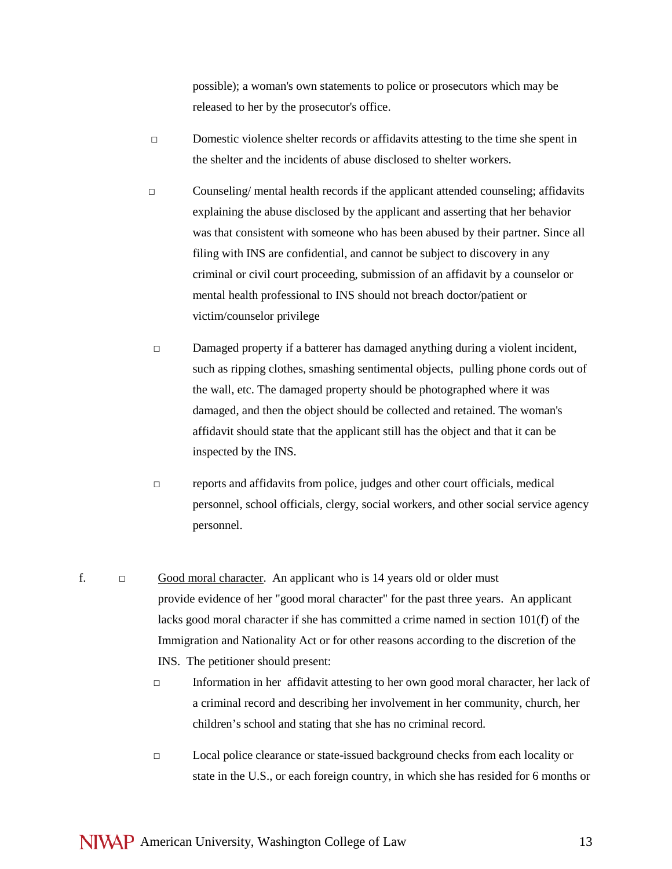possible); a woman's own statements to police or prosecutors which may be released to her by the prosecutor's office.

- □ Domestic violence shelter records or affidavits attesting to the time she spent in the shelter and the incidents of abuse disclosed to shelter workers.
- □ Counseling/ mental health records if the applicant attended counseling; affidavits explaining the abuse disclosed by the applicant and asserting that her behavior was that consistent with someone who has been abused by their partner. Since all filing with INS are confidential, and cannot be subject to discovery in any criminal or civil court proceeding, submission of an affidavit by a counselor or mental health professional to INS should not breach doctor/patient or victim/counselor privilege
- □ Damaged property if a batterer has damaged anything during a violent incident, such as ripping clothes, smashing sentimental objects, pulling phone cords out of the wall, etc. The damaged property should be photographed where it was damaged, and then the object should be collected and retained. The woman's affidavit should state that the applicant still has the object and that it can be inspected by the INS.
- □ reports and affidavits from police, judges and other court officials, medical personnel, school officials, clergy, social workers, and other social service agency personnel.
- f.  $\Box$  Good moral character. An applicant who is 14 years old or older must provide evidence of her "good moral character" for the past three years. An applicant lacks good moral character if she has committed a crime named in section 101(f) of the Immigration and Nationality Act or for other reasons according to the discretion of the INS. The petitioner should present:
	- □ Information in her affidavit attesting to her own good moral character, her lack of a criminal record and describing her involvement in her community, church, her children's school and stating that she has no criminal record.
	- □ Local police clearance or state-issued background checks from each locality or state in the U.S., or each foreign country, in which she has resided for 6 months or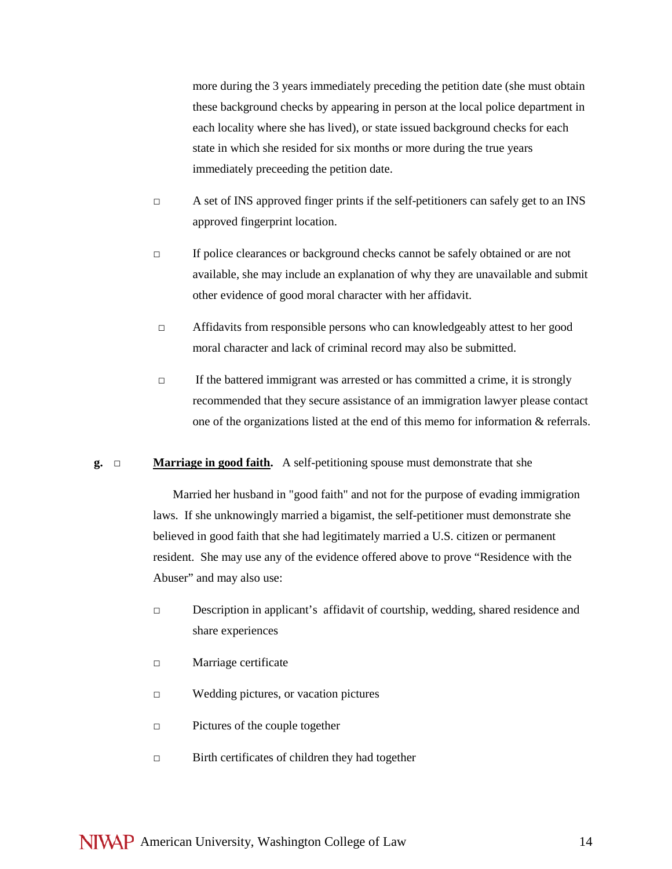more during the 3 years immediately preceding the petition date (she must obtain these background checks by appearing in person at the local police department in each locality where she has lived), or state issued background checks for each state in which she resided for six months or more during the true years immediately preceeding the petition date.

- $\Box$  A set of INS approved finger prints if the self-petitioners can safely get to an INS approved fingerprint location.
- □ If police clearances or background checks cannot be safely obtained or are not available, she may include an explanation of why they are unavailable and submit other evidence of good moral character with her affidavit.
- $\Box$  Affidavits from responsible persons who can knowledgeably attest to her good moral character and lack of criminal record may also be submitted.
- $\Box$  If the battered immigrant was arrested or has committed a crime, it is strongly recommended that they secure assistance of an immigration lawyer please contact one of the organizations listed at the end of this memo for information & referrals.

#### **g. □ Marriage in good faith.** A self-petitioning spouse must demonstrate that she

Married her husband in "good faith" and not for the purpose of evading immigration laws. If she unknowingly married a bigamist, the self-petitioner must demonstrate she believed in good faith that she had legitimately married a U.S. citizen or permanent resident. She may use any of the evidence offered above to prove "Residence with the Abuser" and may also use:

- □ Description in applicant's affidavit of courtship, wedding, shared residence and share experiences
- □ Marriage certificate
- □ Wedding pictures, or vacation pictures
- □ Pictures of the couple together
- □ Birth certificates of children they had together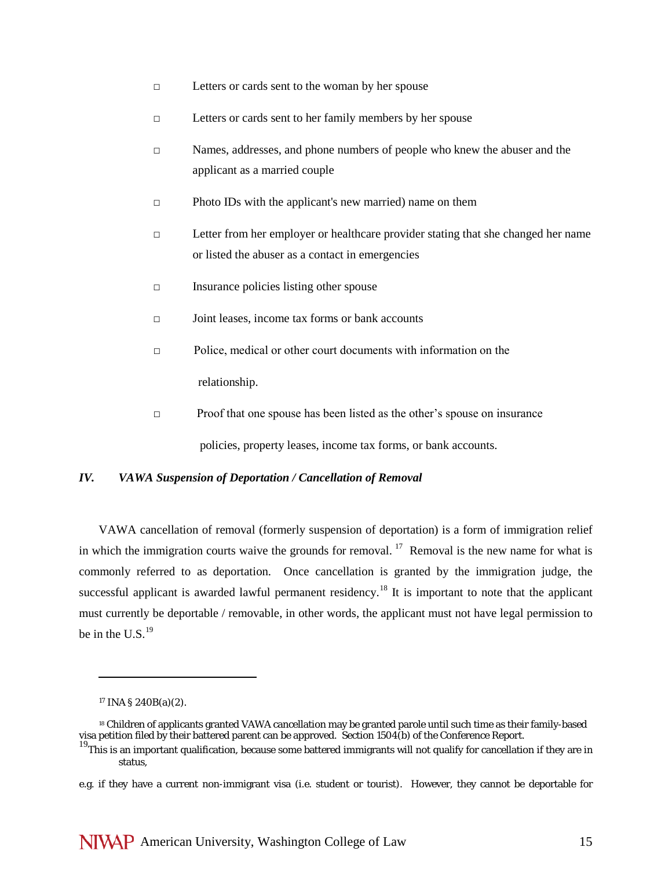- □ Letters or cards sent to the woman by her spouse
- □ Letters or cards sent to her family members by her spouse
- □ Names, addresses, and phone numbers of people who knew the abuser and the applicant as a married couple
- □ Photo IDs with the applicant's new married) name on them
- □ Letter from her employer or healthcare provider stating that she changed her name or listed the abuser as a contact in emergencies
- □ Insurance policies listing other spouse
- □ Joint leases, income tax forms or bank accounts
- □ Police, medical or other court documents with information on the relationship.
- □ Proof that one spouse has been listed as the other's spouse on insurance policies, property leases, income tax forms, or bank accounts.

## *IV. VAWA Suspension of Deportation / Cancellation of Removal*

VAWA cancellation of removal (formerly suspension of deportation) is a form of immigration relief in which the immigration courts waive the grounds for removal. <sup>[17](#page-14-0)</sup> Removal is the new name for what is commonly referred to as deportation. Once cancellation is granted by the immigration judge, the successful applicant is awarded lawful permanent residency.<sup>[18](#page-14-1)</sup> It is important to note that the applicant must currently be deportable / removable, in other words, the applicant must not have legal permission to be in the U.S. $^{19}$  $^{19}$  $^{19}$ 

 $\overline{a}$ 

<sup>17</sup> INA § 240B(a)(2).

<span id="page-14-1"></span><span id="page-14-0"></span><sup>18</sup> Children of applicants granted VAWA cancellation may be granted parole until such time as their family-based visa petition filed by their battered parent can be approved. Section 1504(b) of the Conference Report.

<span id="page-14-2"></span> $19$ This is an important qualification, because some battered immigrants will not qualify for cancellation if they are in status,

e.g. if they have a current non-immigrant visa (i.e. student or tourist). However, they cannot be deportable for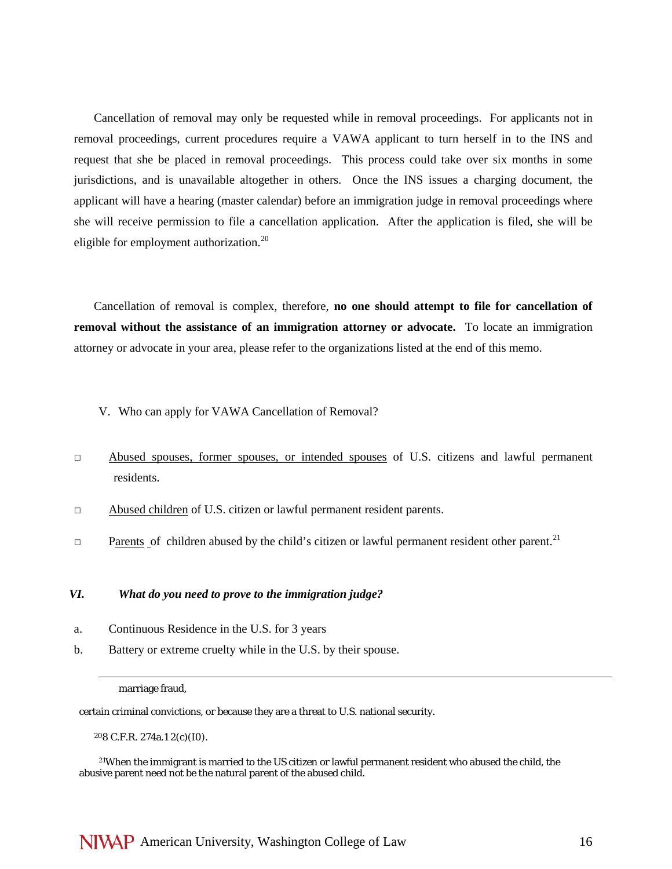Cancellation of removal may only be requested while in removal proceedings. For applicants not in removal proceedings, current procedures require a VAWA applicant to turn herself in to the INS and request that she be placed in removal proceedings. This process could take over six months in some jurisdictions, and is unavailable altogether in others. Once the INS issues a charging document, the applicant will have a hearing (master calendar) before an immigration judge in removal proceedings where she will receive permission to file a cancellation application. After the application is filed, she will be eligible for employment authorization.<sup>20</sup>

Cancellation of removal is complex, therefore, **no one should attempt to file for cancellation of removal without the assistance of an immigration attorney or advocate.** To locate an immigration attorney or advocate in your area, please refer to the organizations listed at the end of this memo.

- V. Who can apply for VAWA Cancellation of Removal?
- **□** Abused spouses, former spouses, or intended spouses of U.S. citizens and lawful permanent residents.
- **□** Abused children of U.S. citizen or lawful permanent resident parents.
- □ Parents of children abused by the child's citizen or lawful permanent resident other parent.<sup>[21](#page-15-1)</sup>

#### *VI. What do you need to prove to the immigration judge?*

- a. Continuous Residence in the U.S. for 3 years
- b. Battery or extreme cruelty while in the U.S. by their spouse.

marriage fraud,

 $\overline{a}$ 

certain criminal convictions, or because they are a threat to U.S. national security.

208 C.F.R. 274a.1 2(c)(I0).

<span id="page-15-1"></span><span id="page-15-0"></span>21When the immigrant is married to the US citizen or lawful permanent resident who abused the child, the abusive parent need not be the natural parent of the abused child.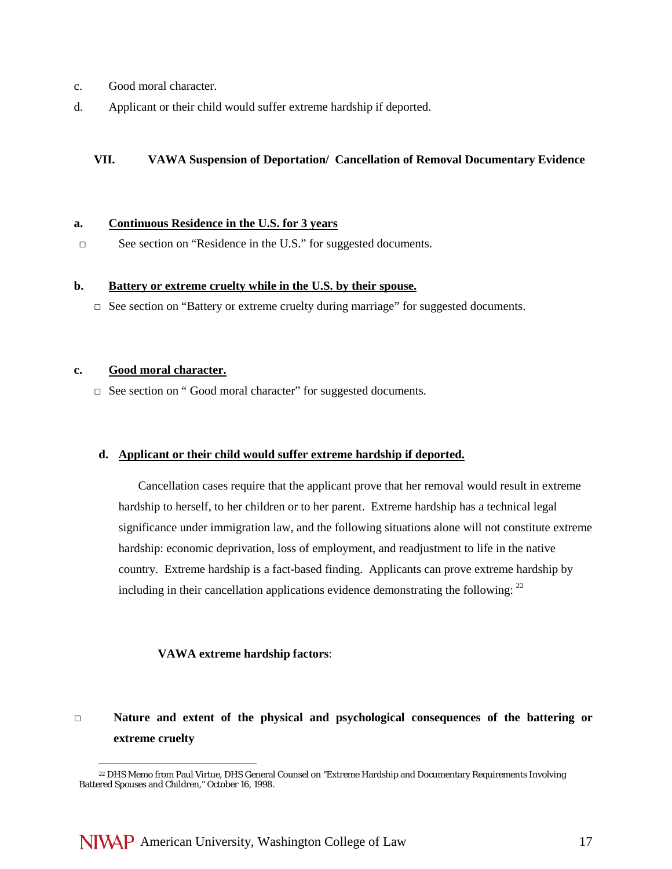- c. Good moral character.
- d. Applicant or their child would suffer extreme hardship if deported.

## **VII. VAWA Suspension of Deportation/ Cancellation of Removal Documentary Evidence**

#### **a. Continuous Residence in the U.S. for 3 years**

□ See section on "Residence in the U.S." for suggested documents.

## **b. Battery or extreme cruelty while in the U.S. by their spouse.**

**□** See section on "Battery or extreme cruelty during marriage" for suggested documents.

### **c. Good moral character.**

□ See section on "Good moral character" for suggested documents.

## **d. Applicant or their child would suffer extreme hardship if deported.**

Cancellation cases require that the applicant prove that her removal would result in extreme hardship to herself, to her children or to her parent. Extreme hardship has a technical legal significance under immigration law, and the following situations alone will not constitute extreme hardship: economic deprivation, loss of employment, and readjustment to life in the native country. Extreme hardship is a fact-based finding. Applicants can prove extreme hardship by including in their cancellation applications evidence demonstrating the following:  $^{22}$  $^{22}$  $^{22}$ 

## **VAWA extreme hardship factors**:

# **□ Nature and extent of the physical and psychological consequences of the battering or extreme cruelty**

<span id="page-16-0"></span><sup>22</sup> DHS Memo from Paul Virtue, DHS General Counsel on "Extreme Hardship and Documentary Requirements Involving Battered Spouses and Children," October 16, 1998.  $\overline{a}$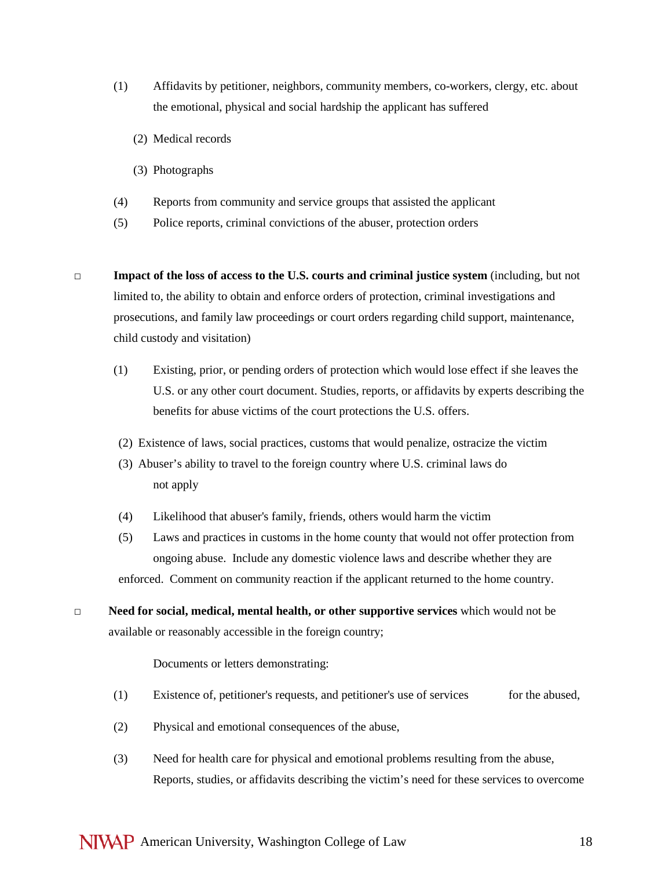- (1) Affidavits by petitioner, neighbors, community members, co-workers, clergy, etc. about the emotional, physical and social hardship the applicant has suffered
	- (2) Medical records
	- (3) Photographs
- (4) Reports from community and service groups that assisted the applicant
- (5) Police reports, criminal convictions of the abuser, protection orders
- **□ Impact of the loss of access to the U.S. courts and criminal justice system** (including, but not limited to, the ability to obtain and enforce orders of protection, criminal investigations and prosecutions, and family law proceedings or court orders regarding child support, maintenance, child custody and visitation)
	- (1) Existing, prior, or pending orders of protection which would lose effect if she leaves the U.S. or any other court document. Studies, reports, or affidavits by experts describing the benefits for abuse victims of the court protections the U.S. offers.
	- (2) Existence of laws, social practices, customs that would penalize, ostracize the victim
	- (3) Abuser's ability to travel to the foreign country where U.S. criminal laws do not apply
	- (4) Likelihood that abuser's family, friends, others would harm the victim
	- (5) Laws and practices in customs in the home county that would not offer protection from ongoing abuse. Include any domestic violence laws and describe whether they are enforced. Comment on community reaction if the applicant returned to the home country.
- **□ Need for social, medical, mental health, or other supportive services** which would not be available or reasonably accessible in the foreign country;

#### Documents or letters demonstrating:

- (1) Existence of, petitioner's requests, and petitioner's use of services for the abused,
- (2) Physical and emotional consequences of the abuse,
- (3) Need for health care for physical and emotional problems resulting from the abuse, Reports, studies, or affidavits describing the victim's need for these services to overcome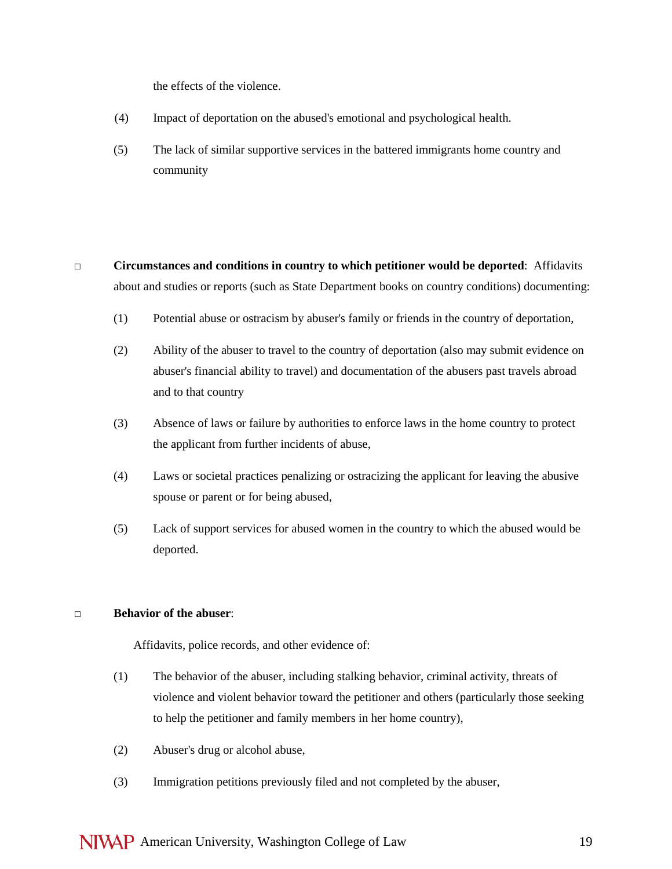the effects of the violence.

- (4) Impact of deportation on the abused's emotional and psychological health.
- (5) The lack of similar supportive services in the battered immigrants home country and community
- **□ Circumstances and conditions in country to which petitioner would be deported**: Affidavits about and studies or reports (such as State Department books on country conditions) documenting:
	- (1) Potential abuse or ostracism by abuser's family or friends in the country of deportation,
	- (2) Ability of the abuser to travel to the country of deportation (also may submit evidence on abuser's financial ability to travel) and documentation of the abusers past travels abroad and to that country
	- (3) Absence of laws or failure by authorities to enforce laws in the home country to protect the applicant from further incidents of abuse,
	- (4) Laws or societal practices penalizing or ostracizing the applicant for leaving the abusive spouse or parent or for being abused,
	- (5) Lack of support services for abused women in the country to which the abused would be deported.

## **□ Behavior of the abuser**:

Affidavits, police records, and other evidence of:

- (1) The behavior of the abuser, including stalking behavior, criminal activity, threats of violence and violent behavior toward the petitioner and others (particularly those seeking to help the petitioner and family members in her home country),
- (2) Abuser's drug or alcohol abuse,
- (3) Immigration petitions previously filed and not completed by the abuser,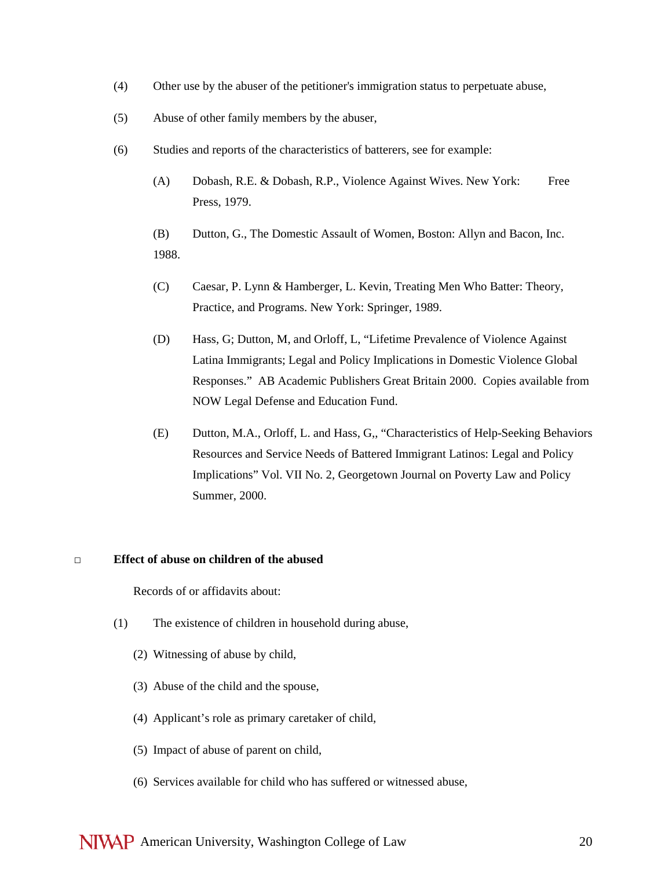- (4) Other use by the abuser of the petitioner's immigration status to perpetuate abuse,
- (5) Abuse of other family members by the abuser,
- (6) Studies and reports of the characteristics of batterers, see for example:
	- (A) Dobash, R.E. & Dobash, R.P., Violence Against Wives. New York: Free Press, 1979.

(B) Dutton, G., The Domestic Assault of Women, Boston: Allyn and Bacon, Inc. 1988.

- (C) Caesar, P. Lynn & Hamberger, L. Kevin, Treating Men Who Batter: Theory, Practice, and Programs. New York: Springer, 1989.
- (D) Hass, G; Dutton, M, and Orloff, L, "Lifetime Prevalence of Violence Against Latina Immigrants; Legal and Policy Implications in Domestic Violence Global Responses." AB Academic Publishers Great Britain 2000. Copies available from NOW Legal Defense and Education Fund.
- (E) Dutton, M.A., Orloff, L. and Hass, G,, "Characteristics of Help-Seeking Behaviors Resources and Service Needs of Battered Immigrant Latinos: Legal and Policy Implications" Vol. VII No. 2, Georgetown Journal on Poverty Law and Policy Summer, 2000.

#### **□ Effect of abuse on children of the abused**

Records of or affidavits about:

- (1) The existence of children in household during abuse,
	- (2) Witnessing of abuse by child,
	- (3) Abuse of the child and the spouse,
	- (4) Applicant's role as primary caretaker of child,
	- (5) Impact of abuse of parent on child,
	- (6) Services available for child who has suffered or witnessed abuse,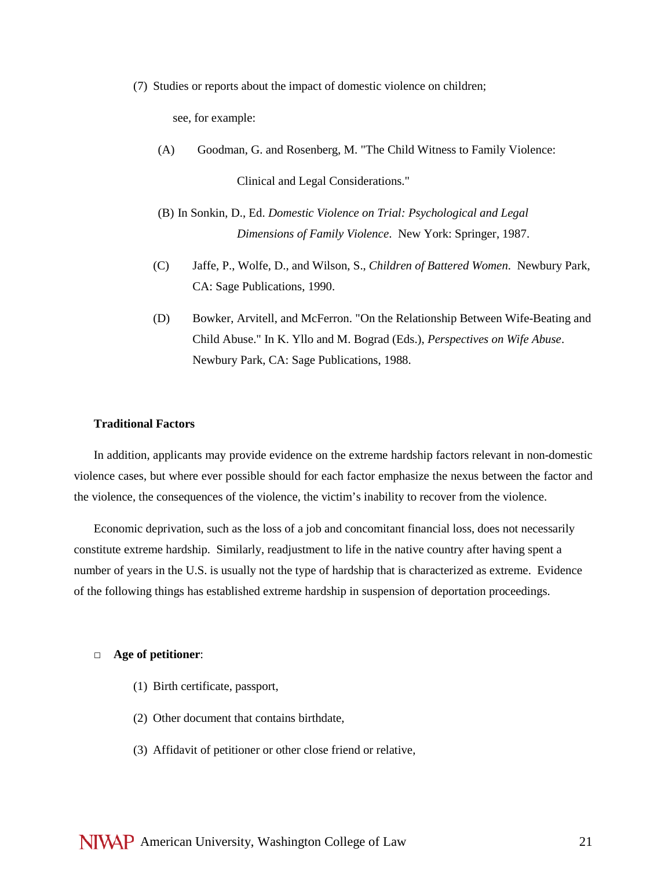(7) Studies or reports about the impact of domestic violence on children;

see, for example:

- (A) Goodman, G. and Rosenberg, M. "The Child Witness to Family Violence: Clinical and Legal Considerations."
- (B) In Sonkin, D., Ed. *Domestic Violence on Trial: Psychological and Legal Dimensions of Family Violence*. New York: Springer, 1987.
- (C) Jaffe, P., Wolfe, D., and Wilson, S., *Children of Battered Women*. Newbury Park, CA: Sage Publications, 1990.
- (D) Bowker, Arvitell, and McFerron. "On the Relationship Between Wife-Beating and Child Abuse." In K. Yllo and M. Bograd (Eds.), *Perspectives on Wife Abuse*. Newbury Park, CA: Sage Publications, 1988.

### **Traditional Factors**

In addition, applicants may provide evidence on the extreme hardship factors relevant in non-domestic violence cases, but where ever possible should for each factor emphasize the nexus between the factor and the violence, the consequences of the violence, the victim's inability to recover from the violence.

Economic deprivation, such as the loss of a job and concomitant financial loss, does not necessarily constitute extreme hardship. Similarly, readjustment to life in the native country after having spent a number of years in the U.S. is usually not the type of hardship that is characterized as extreme. Evidence of the following things has established extreme hardship in suspension of deportation proceedings.

#### **□ Age of petitioner**:

- (1) Birth certificate, passport,
- (2) Other document that contains birthdate,
- (3) Affidavit of petitioner or other close friend or relative,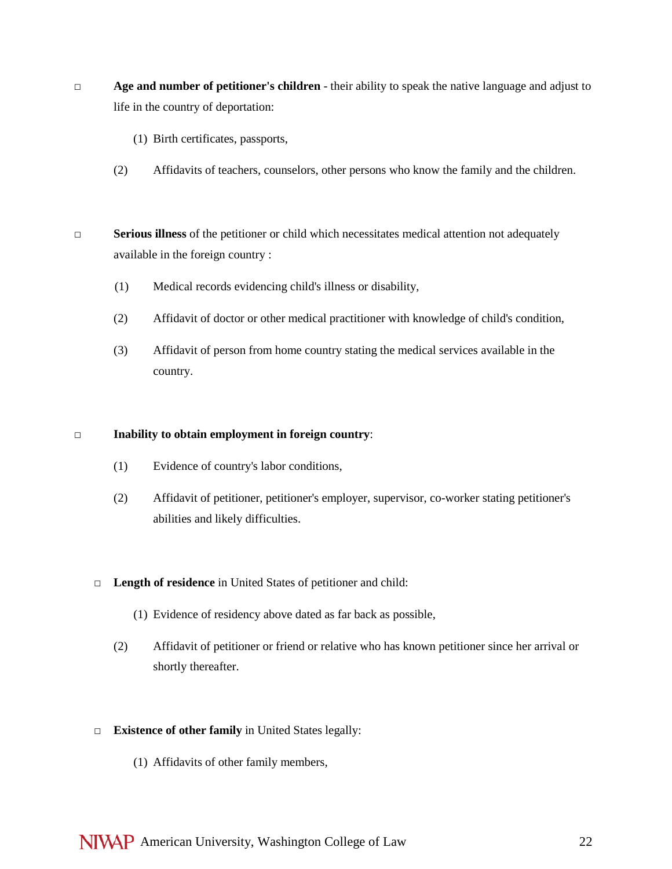- **□ Age and number of petitioner's children** their ability to speak the native language and adjust to life in the country of deportation:
	- (1) Birth certificates, passports,
	- (2) Affidavits of teachers, counselors, other persons who know the family and the children.
- **□ Serious illness** of the petitioner or child which necessitates medical attention not adequately available in the foreign country :
	- (1) Medical records evidencing child's illness or disability,
	- (2) Affidavit of doctor or other medical practitioner with knowledge of child's condition,
	- (3) Affidavit of person from home country stating the medical services available in the country.

## **□ Inability to obtain employment in foreign country**:

- (1) Evidence of country's labor conditions,
- (2) Affidavit of petitioner, petitioner's employer, supervisor, co-worker stating petitioner's abilities and likely difficulties.
- **□ Length of residence** in United States of petitioner and child:
	- (1) Evidence of residency above dated as far back as possible,
	- (2) Affidavit of petitioner or friend or relative who has known petitioner since her arrival or shortly thereafter.
- **□ Existence of other family** in United States legally:
	- (1) Affidavits of other family members,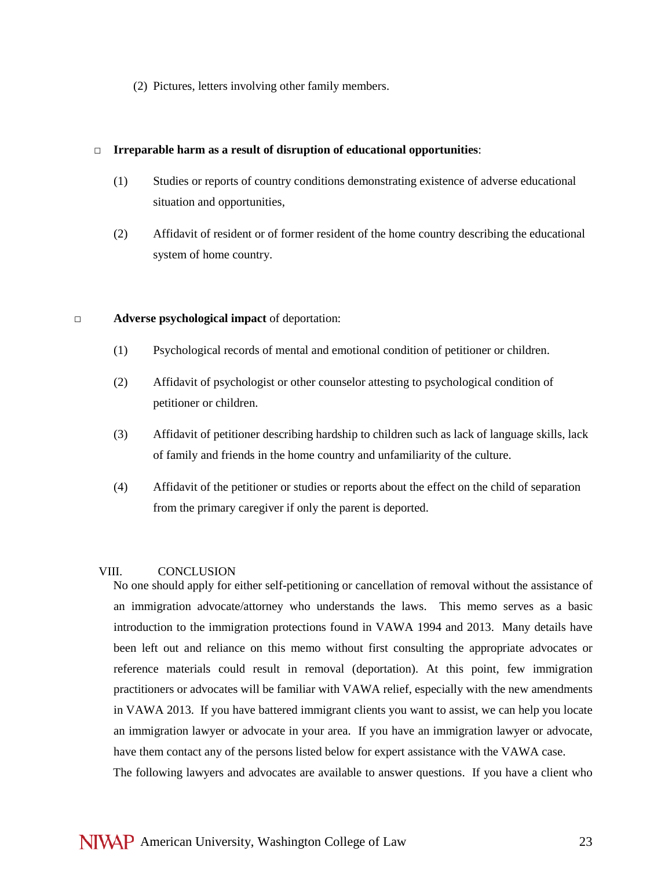(2) Pictures, letters involving other family members.

### **□ Irreparable harm as a result of disruption of educational opportunities**:

- (1) Studies or reports of country conditions demonstrating existence of adverse educational situation and opportunities,
- (2) Affidavit of resident or of former resident of the home country describing the educational system of home country.

### **□ Adverse psychological impact** of deportation:

- (1) Psychological records of mental and emotional condition of petitioner or children.
- (2) Affidavit of psychologist or other counselor attesting to psychological condition of petitioner or children.
- (3) Affidavit of petitioner describing hardship to children such as lack of language skills, lack of family and friends in the home country and unfamiliarity of the culture.
- (4) Affidavit of the petitioner or studies or reports about the effect on the child of separation from the primary caregiver if only the parent is deported.

## VIII. CONCLUSION

 No one should apply for either self-petitioning or cancellation of removal without the assistance of an immigration advocate/attorney who understands the laws. This memo serves as a basic introduction to the immigration protections found in VAWA 1994 and 2013. Many details have been left out and reliance on this memo without first consulting the appropriate advocates or reference materials could result in removal (deportation). At this point, few immigration practitioners or advocates will be familiar with VAWA relief, especially with the new amendments in VAWA 2013. If you have battered immigrant clients you want to assist, we can help you locate an immigration lawyer or advocate in your area. If you have an immigration lawyer or advocate, have them contact any of the persons listed below for expert assistance with the VAWA case. The following lawyers and advocates are available to answer questions. If you have a client who